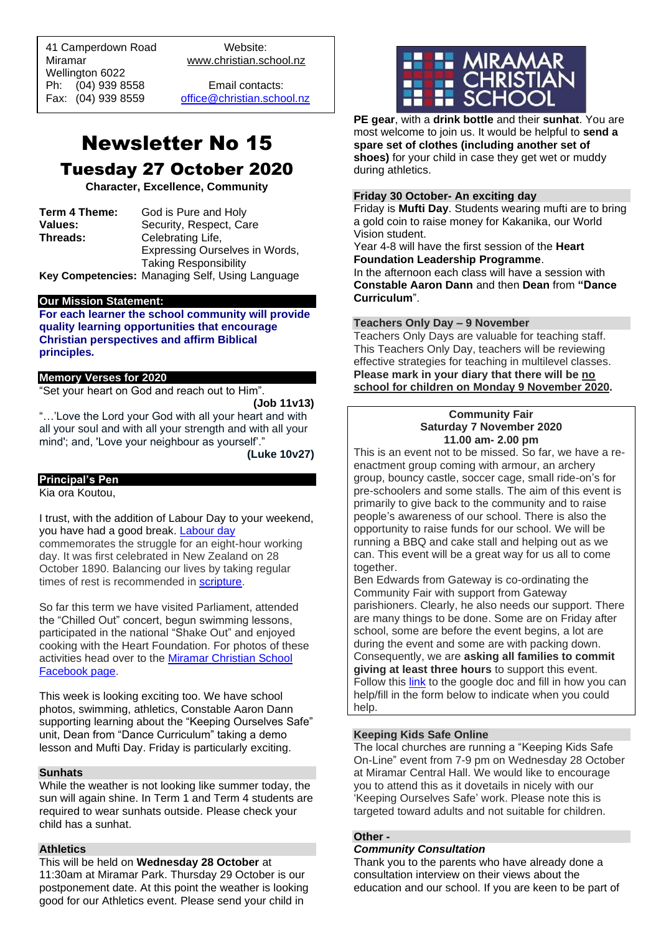41 Camperdown Road Website: Miramar www.christian.school.nz Wellington 6022 Ph: (04) 939 8558 Email contacts:

 $\overline{a}$ 

Fax: (04) 939 8559 [office@christian.school.nz](mailto:office@christian.school.nz)

## Newsletter No 15 Tuesday 27 October 2020

**Character, Excellence, Community**

**Term 4 Theme:** God is Pure and Holy<br>**Values:** Security. Respect. Ca **Values: Security, Respect, Care**<br> **Threads: Celebrating Life.** Celebrating Life, Expressing Ourselves in Words, Taking Responsibility

**Key Competencies:** Managing Self, Using Language

## **Our Mission Statement:**

**For each learner the school community will provide quality learning opportunities that encourage Christian perspectives and affirm Biblical principles***.*

#### **Memory Verses for 2020**

"Set your heart on God and reach out to Him".

**(Job 11v13)**

"…'Love the Lord your God with all your heart and with all your soul and with all your strength and with all your mind'; and, 'Love your neighbour as yourself'."

**(Luke 10v27)**

## **Principal's Pen**

Kia ora Koutou,

I trust, with the addition of Labour Day to your weekend, you have had a good break. [Labour day](https://nzhistory.govt.nz/politics/labour-day) commemorates the struggle for an eight-hour working day. It was first celebrated in New Zealand on 28 October 1890. Balancing our lives by taking regular times of rest is recommended in [scripture.](https://biblehub.com/exodus/34-21.htm)

So far this term we have visited Parliament, attended the "Chilled Out" concert, begun swimming lessons, participated in the national "Shake Out" and enjoyed cooking with the Heart Foundation. For photos of these activities head over to the [Miramar Christian School](https://www.facebook.com/MiramarChristianSchool/?rf=149876055068770)  [Facebook page.](https://www.facebook.com/MiramarChristianSchool/?rf=149876055068770)

This week is looking exciting too. We have school photos, swimming, athletics, Constable Aaron Dann supporting learning about the "Keeping Ourselves Safe" unit, Dean from "Dance Curriculum" taking a demo lesson and Mufti Day. Friday is particularly exciting.

## **Sunhats**

While the weather is not looking like summer today, the sun will again shine. In Term 1 and Term 4 students are required to wear sunhats outside. Please check your child has a sunhat.

#### **Athletics**

This will be held on **Wednesday 28 October** at 11:30am at Miramar Park. Thursday 29 October is our postponement date. At this point the weather is looking good for our Athletics event. Please send your child in



**PE gear**, with a **drink bottle** and their **sunhat**. You are most welcome to join us. It would be helpful to **send a spare set of clothes (including another set of shoes)** for your child in case they get wet or muddy during athletics.

## **Friday 30 October- An exciting day**

Friday is **Mufti Day**. Students wearing mufti are to bring a gold coin to raise money for Kakanika, our World Vision student.

Year 4-8 will have the first session of the **Heart Foundation Leadership Programme**. In the afternoon each class will have a session with **Constable Aaron Dann** and then **Dean** from **"Dance Curriculum**".

## **Teachers Only Day – 9 November**

Teachers Only Days are valuable for teaching staff. This Teachers Only Day, teachers will be reviewing effective strategies for teaching in multilevel classes. **Please mark in your diary that there will be no school for children on Monday 9 November 2020.**

#### **Community Fair Saturday 7 November 2020 11.00 am- 2.00 pm**

This is an event not to be missed. So far, we have a reenactment group coming with armour, an archery group, bouncy castle, soccer cage, small ride-on's for pre-schoolers and some stalls. The aim of this event is primarily to give back to the community and to raise people's awareness of our school. There is also the opportunity to raise funds for our school. We will be running a BBQ and cake stall and helping out as we can. This event will be a great way for us all to come together.

Ben Edwards from Gateway is co-ordinating the Community Fair with support from Gateway parishioners. Clearly, he also needs our support. There are many things to be done. Some are on Friday after school, some are before the event begins, a lot are during the event and some are with packing down. Consequently, we are **asking all families to commit giving at least three hours** to support this event. Follow this [link](https://docs.google.com/document/d/1lZNGNKWRmH0oDIUlDilb6c18C7YS_psN8t57ARyPz8s/edit) to the google doc and fill in how you can help/fill in the form below to indicate when you could help.

## **Keeping Kids Safe Online**

The local churches are running a "Keeping Kids Safe On-Line" event from 7-9 pm on Wednesday 28 October at Miramar Central Hall. We would like to encourage you to attend this as it dovetails in nicely with our 'Keeping Ourselves Safe' work. Please note this is targeted toward adults and not suitable for children.

## **Other -**

## *Community Consultation*

Thank you to the parents who have already done a consultation interview on their views about the education and our school. If you are keen to be part of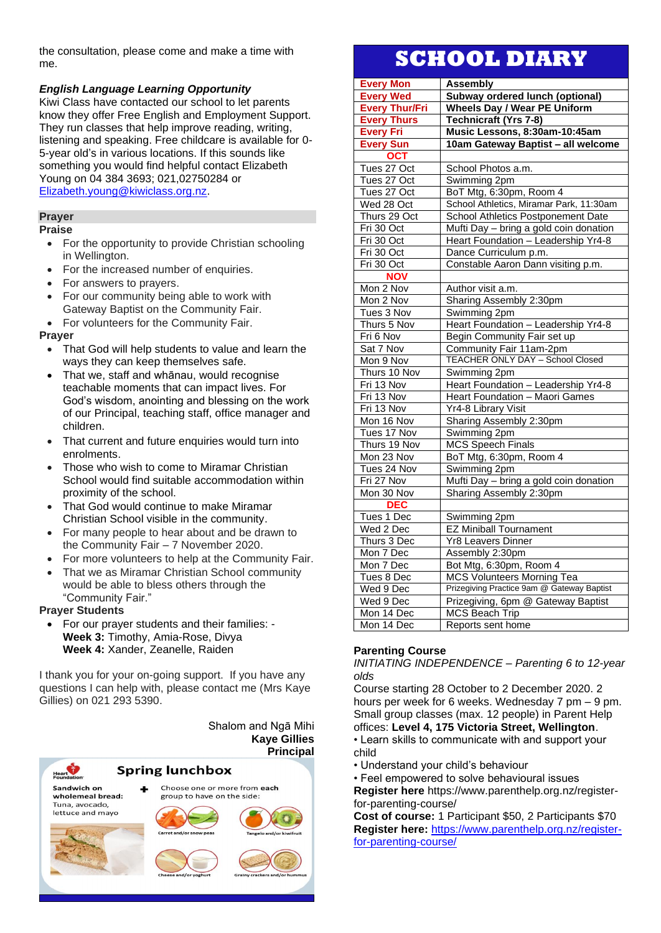the consultation, please come and make a time with me.

## *English Language Learning Opportunity*

Kiwi Class have contacted our school to let parents know they offer Free English and Employment Support. They run classes that help improve reading, writing, listening and speaking. Free childcare is available for 0- 5-year old's in various locations. If this sounds like something you would find helpful contact Elizabeth Young on 04 384 3693; 021,02750284 or [Elizabeth.young@kiwiclass.org.nz.](mailto:Elizabeth.young@kiwiclass.org.nz)

## **Prayer**

**Praise**

- For the opportunity to provide Christian schooling in Wellington.
- For the increased number of enquiries.
- For answers to prayers.
- For our community being able to work with Gateway Baptist on the Community Fair.
- For volunteers for the Community Fair.

## **Prayer**

- That God will help students to value and learn the ways they can keep themselves safe.
- That we, staff and whānau, would recognise teachable moments that can impact lives. For God's wisdom, anointing and blessing on the work of our Principal, teaching staff, office manager and children.
- That current and future enquiries would turn into enrolments.
- Those who wish to come to Miramar Christian School would find suitable accommodation within proximity of the school.
- That God would continue to make Miramar Christian School visible in the community.
- For many people to hear about and be drawn to the Community Fair – 7 November 2020.
- For more volunteers to help at the Community Fair.
- That we as Miramar Christian School community would be able to bless others through the "Community Fair."

## **Prayer Students**

• For our prayer students and their families: - **Week 3:** Timothy, Amia-Rose, Divya **Week 4:** Xander, Zeanelle, Raiden

I thank you for your on-going support. If you have any questions I can help with, please contact me (Mrs Kaye Gillies) on 021 293 5390.

> Shalom and Ngā Mihi **Kaye Gillies Principal**

| Heart                                                | <b>Spring lunchbox</b>                                     | i ilivipa                     |
|------------------------------------------------------|------------------------------------------------------------|-------------------------------|
| <b>Foundation</b><br>Sandwich on<br>wholemeal bread: | Choose one or more from each<br>group to have on the side: |                               |
| Tuna, avocado,<br>lettuce and mayo                   | Carrot and/or snow peas                                    | Tangelo and/or kiwifruit      |
|                                                      | Cheese and/or yoghurt                                      | Grainy crackers and/or hummus |

# **SCHOOL DIARY**

| <b>Every Mon</b>                    | <b>Assembly</b>                                                       |  |
|-------------------------------------|-----------------------------------------------------------------------|--|
| <b>Every Wed</b>                    | Subway ordered lunch (optional)                                       |  |
| <b>Every Thur/Fri</b>               | <b>Wheels Day / Wear PE Uniform</b>                                   |  |
| <b>Every Thurs</b>                  | <b>Technicraft (Yrs 7-8)</b>                                          |  |
| <b>Every Fri</b>                    | Music Lessons, 8:30am-10:45am                                         |  |
| <b>Every Sun</b>                    | 10am Gateway Baptist - all welcome                                    |  |
| <b>OCT</b>                          |                                                                       |  |
| Tues 27 Oct                         | School Photos a.m.                                                    |  |
| Tues 27 Oct                         | Swimming 2pm                                                          |  |
| Tues 27 Oct                         | BoT Mtg, 6:30pm, Room 4                                               |  |
| Wed 28 Oct                          | School Athletics, Miramar Park, 11:30am                               |  |
| Thurs 29 Oct                        | School Athletics Postponement Date                                    |  |
| Fri 30 Oct                          | Mufti Day - bring a gold coin donation                                |  |
| Fri 30 Oct                          | Heart Foundation - Leadership Yr4-8                                   |  |
| Fri 30 Oct                          | Dance Curriculum p.m.                                                 |  |
| Fri 30 Oct                          | Constable Aaron Dann visiting p.m.                                    |  |
| <b>NOV</b>                          |                                                                       |  |
| Mon 2 Nov                           | Author visit a.m.                                                     |  |
| Mon 2 Nov                           | Sharing Assembly 2:30pm                                               |  |
| Tues 3 Nov                          | Swimming 2pm                                                          |  |
| Thurs 5 Nov                         | Heart Foundation - Leadership Yr4-8                                   |  |
| Fri 6 Nov                           | Begin Community Fair set up                                           |  |
| Sat 7 Nov                           | Community Fair 11am-2pm                                               |  |
| Mon 9 Nov                           | TEACHER ONLY DAY - School Closed                                      |  |
| Thurs 10 Nov                        | Swimming 2pm                                                          |  |
| Fri 13 Nov                          | Heart Foundation - Leadership Yr4-8<br>Heart Foundation - Maori Games |  |
| Fri 13 Nov                          |                                                                       |  |
| Fri 13 Nov                          | Yr4-8 Library Visit                                                   |  |
| Mon 16 Nov                          | Sharing Assembly 2:30pm                                               |  |
| Tues 17 Nov                         | Swimming 2pm                                                          |  |
| Thurs 19 Nov                        | <b>MCS Speech Finals</b>                                              |  |
| Mon 23 Nov                          | BoT Mtg, 6:30pm, Room 4                                               |  |
| Tues 24 Nov                         | Swimming 2pm                                                          |  |
| Fri 27 Nov                          | Mufti Day - bring a gold coin donation                                |  |
| Mon 30 Nov                          | Sharing Assembly 2:30pm                                               |  |
| <b>DEC</b>                          |                                                                       |  |
| Tues 1 Dec                          | Swimming 2pm                                                          |  |
| Wed 2 Dec                           | <b>EZ Miniball Tournament</b>                                         |  |
| Thurs 3 Dec                         | Yr8 Leavers Dinner                                                    |  |
| Mon 7 Dec                           | Assembly 2:30pm                                                       |  |
| Mon 7 Dec                           | Bot Mtg, 6:30pm, Room 4                                               |  |
| Tues 8 Dec                          | <b>MCS Volunteers Morning Tea</b>                                     |  |
| Wed 9 Dec                           | Prizegiving Practice 9am @ Gateway Baptist                            |  |
| Wed 9 Dec                           | Prizegiving, 6pm @ Gateway Baptist                                    |  |
| <b>MCS Beach Trip</b><br>Mon 14 Dec |                                                                       |  |
| Mon 14 Dec                          | Reports sent home                                                     |  |

## **Parenting Course**

*INITIATING INDEPENDENCE – Parenting 6 to 12-year olds* 

Course starting 28 October to 2 December 2020. 2 hours per week for 6 weeks. Wednesday 7 pm – 9 pm. Small group classes (max. 12 people) in Parent Help offices: **Level 4, 175 Victoria Street, Wellington**. • Learn skills to communicate with and support your child

- Understand your child's behaviour
- Feel empowered to solve behavioural issues

**Register here** https://www.parenthelp.org.nz/registerfor-parenting-course/

**Cost of course:** 1 Participant \$50, 2 Participants \$70 **Register here:** [https://www.parenthelp.org.nz/register](https://www.parenthelp.org.nz/register-for-parenting-course/)[for-parenting-course/](https://www.parenthelp.org.nz/register-for-parenting-course/)